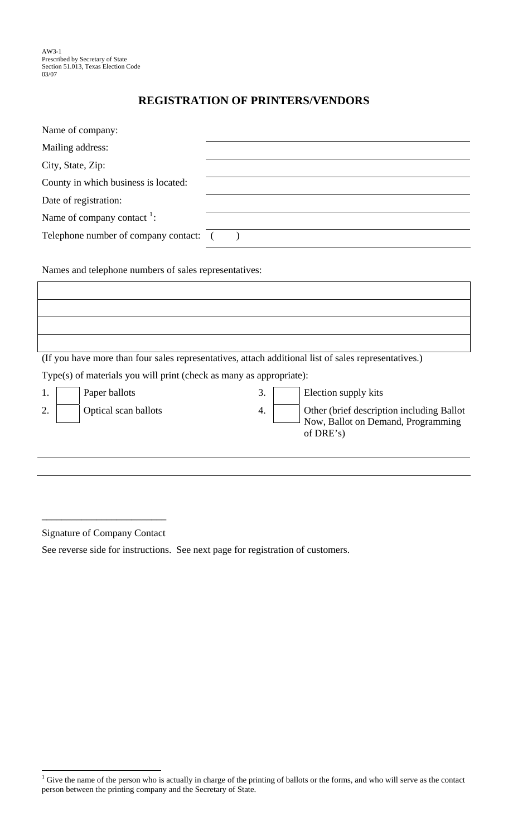## **REGISTRATION OF PRINTERS/VENDORS**

| Name of company:                        |  |
|-----------------------------------------|--|
| Mailing address:                        |  |
| City, State, Zip:                       |  |
| County in which business is located:    |  |
| Date of registration:                   |  |
| Name of company contact $\frac{1}{1}$ : |  |
| Telephone number of company contact:    |  |
|                                         |  |

Names and telephone numbers of sales representatives:

(If you have more than four sales representatives, attach additional list of sales representatives.)

Type(s) of materials you will print (check as many as appropriate):

1. Paper ballots 2. Optical scan ballots 3. Election supply kits 4. Other (brief description including Ballot Now, Ballot on Demand, Programming of DRE's)

Signature of Company Contact

\_\_\_\_\_\_\_\_\_\_\_\_\_\_\_\_\_\_\_\_\_\_\_\_\_

See reverse side for instructions. See next page for registration of customers.

<span id="page-0-0"></span><sup>&</sup>lt;sup>1</sup> Give the name of the person who is actually in charge of the printing of ballots or the forms, and who will serve as the contact person between the printing company and the Secretary of State.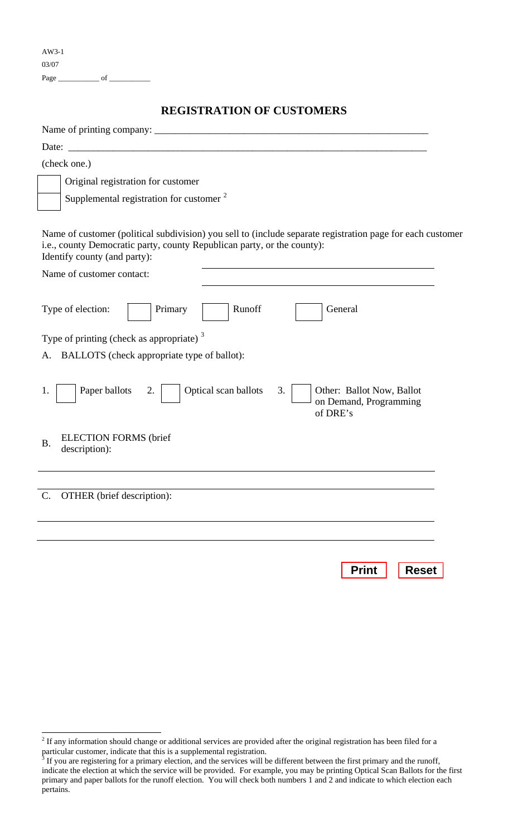| $AW3-1$ |    |
|---------|----|
| 03/07   |    |
| Page    | of |

 $\overline{a}$ 

## **REGISTRATION OF CUSTOMERS**

| Date:<br><u> 1980 - Jan James James Barnett, fransk politik (d. 1980)</u>                                                                                                                                             |
|-----------------------------------------------------------------------------------------------------------------------------------------------------------------------------------------------------------------------|
| (check one.)                                                                                                                                                                                                          |
| Original registration for customer                                                                                                                                                                                    |
| Supplemental registration for customer <sup>2</sup>                                                                                                                                                                   |
| Name of customer (political subdivision) you sell to (include separate registration page for each customer<br>i.e., county Democratic party, county Republican party, or the county):<br>Identify county (and party): |
| Name of customer contact:                                                                                                                                                                                             |
| Runoff<br>Type of election:<br>Primary<br>General                                                                                                                                                                     |
| Type of printing (check as appropriate) $3$                                                                                                                                                                           |
| BALLOTS (check appropriate type of ballot):<br>A.                                                                                                                                                                     |
| Optical scan ballots<br>Paper ballots<br>3.<br>Other: Ballot Now, Ballot<br>2.<br>1.<br>on Demand, Programming<br>of DRE's                                                                                            |
| <b>ELECTION FORMS</b> (brief<br><b>B.</b><br>description):                                                                                                                                                            |
| C. OTHER (brief description):                                                                                                                                                                                         |
|                                                                                                                                                                                                                       |
| <b>Print</b><br><b>Reset</b>                                                                                                                                                                                          |

<span id="page-1-0"></span><sup>&</sup>lt;sup>2</sup> If any information should change or additional services are provided after the original registration has been filed for a particular customer, indicate that this is a supplemental registration.<br><sup>3</sup> If you are registering for a primary election, and the services will be different between the first primary and the runoff,

<span id="page-1-1"></span>indicate the election at which the service will be provided. For example, you may be printing Optical Scan Ballots for the first primary and paper ballots for the runoff election. You will check both numbers 1 and 2 and indicate to which election each pertains.